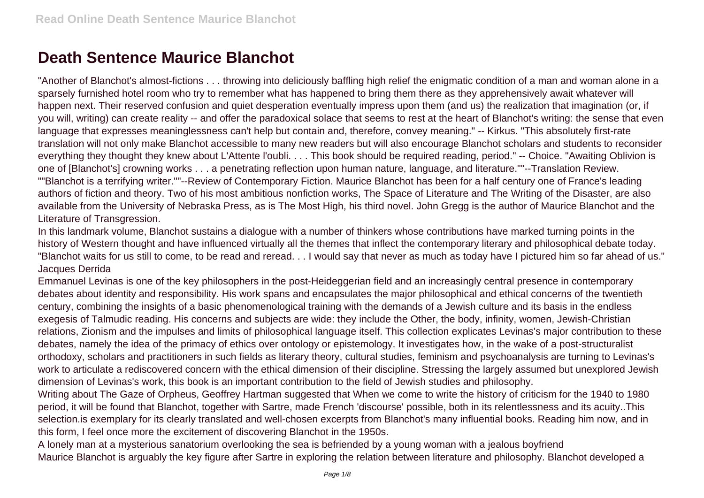## **Death Sentence Maurice Blanchot**

"Another of Blanchot's almost-fictions . . . throwing into deliciously baffling high relief the enigmatic condition of a man and woman alone in a sparsely furnished hotel room who try to remember what has happened to bring them there as they apprehensively await whatever will happen next. Their reserved confusion and quiet desperation eventually impress upon them (and us) the realization that imagination (or, if you will, writing) can create reality -- and offer the paradoxical solace that seems to rest at the heart of Blanchot's writing: the sense that even language that expresses meaninglessness can't help but contain and, therefore, convey meaning." -- Kirkus. "This absolutely first-rate translation will not only make Blanchot accessible to many new readers but will also encourage Blanchot scholars and students to reconsider everything they thought they knew about L'Attente l'oubli. . . . This book should be required reading, period." -- Choice. "Awaiting Oblivion is one of [Blanchot's] crowning works . . . a penetrating reflection upon human nature, language, and literature.""--Translation Review. ""Blanchot is a terrifying writer.""--Review of Contemporary Fiction. Maurice Blanchot has been for a half century one of France's leading authors of fiction and theory. Two of his most ambitious nonfiction works, The Space of Literature and The Writing of the Disaster, are also available from the University of Nebraska Press, as is The Most High, his third novel. John Gregg is the author of Maurice Blanchot and the Literature of Transgression.

In this landmark volume, Blanchot sustains a dialogue with a number of thinkers whose contributions have marked turning points in the history of Western thought and have influenced virtually all the themes that inflect the contemporary literary and philosophical debate today. "Blanchot waits for us still to come, to be read and reread. . . I would say that never as much as today have I pictured him so far ahead of us." Jacques Derrida

Emmanuel Levinas is one of the key philosophers in the post-Heideggerian field and an increasingly central presence in contemporary debates about identity and responsibility. His work spans and encapsulates the major philosophical and ethical concerns of the twentieth century, combining the insights of a basic phenomenological training with the demands of a Jewish culture and its basis in the endless exegesis of Talmudic reading. His concerns and subjects are wide: they include the Other, the body, infinity, women, Jewish-Christian relations, Zionism and the impulses and limits of philosophical language itself. This collection explicates Levinas's major contribution to these debates, namely the idea of the primacy of ethics over ontology or epistemology. It investigates how, in the wake of a post-structuralist orthodoxy, scholars and practitioners in such fields as literary theory, cultural studies, feminism and psychoanalysis are turning to Levinas's work to articulate a rediscovered concern with the ethical dimension of their discipline. Stressing the largely assumed but unexplored Jewish dimension of Levinas's work, this book is an important contribution to the field of Jewish studies and philosophy.

Writing about The Gaze of Orpheus, Geoffrey Hartman suggested that When we come to write the history of criticism for the 1940 to 1980 period, it will be found that Blanchot, together with Sartre, made French 'discourse' possible, both in its relentlessness and its acuity..This selection.is exemplary for its clearly translated and well-chosen excerpts from Blanchot's many influential books. Reading him now, and in this form, I feel once more the excitement of discovering Blanchot in the 1950s.

A lonely man at a mysterious sanatorium overlooking the sea is befriended by a young woman with a jealous boyfriend Maurice Blanchot is arguably the key figure after Sartre in exploring the relation between literature and philosophy. Blanchot developed a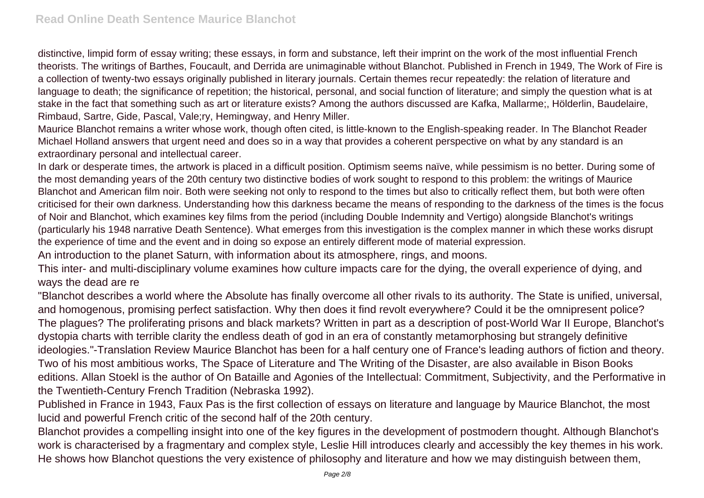distinctive, limpid form of essay writing; these essays, in form and substance, left their imprint on the work of the most influential French theorists. The writings of Barthes, Foucault, and Derrida are unimaginable without Blanchot. Published in French in 1949, The Work of Fire is a collection of twenty-two essays originally published in literary journals. Certain themes recur repeatedly: the relation of literature and language to death; the significance of repetition; the historical, personal, and social function of literature; and simply the question what is at stake in the fact that something such as art or literature exists? Among the authors discussed are Kafka, Mallarme;, Hölderlin, Baudelaire, Rimbaud, Sartre, Gide, Pascal, Vale;ry, Hemingway, and Henry Miller.

Maurice Blanchot remains a writer whose work, though often cited, is little-known to the English-speaking reader. In The Blanchot Reader Michael Holland answers that urgent need and does so in a way that provides a coherent perspective on what by any standard is an extraordinary personal and intellectual career.

In dark or desperate times, the artwork is placed in a difficult position. Optimism seems naïve, while pessimism is no better. During some of the most demanding years of the 20th century two distinctive bodies of work sought to respond to this problem: the writings of Maurice Blanchot and American film noir. Both were seeking not only to respond to the times but also to critically reflect them, but both were often criticised for their own darkness. Understanding how this darkness became the means of responding to the darkness of the times is the focus of Noir and Blanchot, which examines key films from the period (including Double Indemnity and Vertigo) alongside Blanchot's writings (particularly his 1948 narrative Death Sentence). What emerges from this investigation is the complex manner in which these works disrupt the experience of time and the event and in doing so expose an entirely different mode of material expression.

An introduction to the planet Saturn, with information about its atmosphere, rings, and moons.

This inter- and multi-disciplinary volume examines how culture impacts care for the dying, the overall experience of dying, and ways the dead are re

"Blanchot describes a world where the Absolute has finally overcome all other rivals to its authority. The State is unified, universal, and homogenous, promising perfect satisfaction. Why then does it find revolt everywhere? Could it be the omnipresent police? The plagues? The proliferating prisons and black markets? Written in part as a description of post-World War II Europe, Blanchot's dystopia charts with terrible clarity the endless death of god in an era of constantly metamorphosing but strangely definitive ideologies."-Translation Review Maurice Blanchot has been for a half century one of France's leading authors of fiction and theory. Two of his most ambitious works, The Space of Literature and The Writing of the Disaster, are also available in Bison Books editions. Allan Stoekl is the author of On Bataille and Agonies of the Intellectual: Commitment, Subjectivity, and the Performative in the Twentieth-Century French Tradition (Nebraska 1992).

Published in France in 1943, Faux Pas is the first collection of essays on literature and language by Maurice Blanchot, the most lucid and powerful French critic of the second half of the 20th century.

Blanchot provides a compelling insight into one of the key figures in the development of postmodern thought. Although Blanchot's work is characterised by a fragmentary and complex style, Leslie Hill introduces clearly and accessibly the key themes in his work. He shows how Blanchot questions the very existence of philosophy and literature and how we may distinguish between them,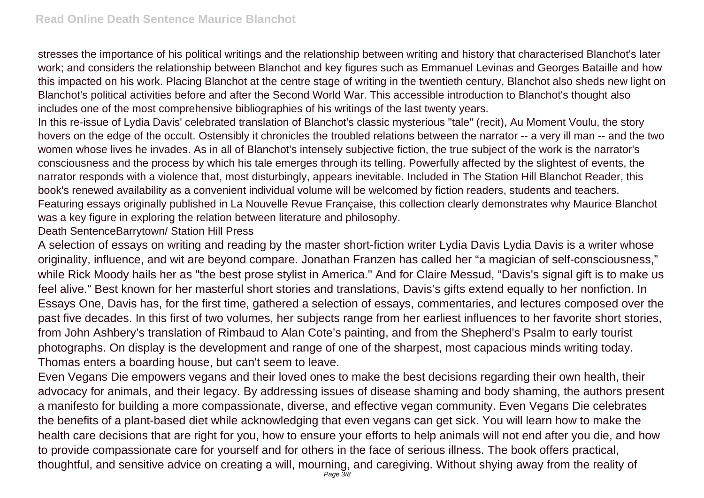stresses the importance of his political writings and the relationship between writing and history that characterised Blanchot's later work; and considers the relationship between Blanchot and key figures such as Emmanuel Levinas and Georges Bataille and how this impacted on his work. Placing Blanchot at the centre stage of writing in the twentieth century, Blanchot also sheds new light on Blanchot's political activities before and after the Second World War. This accessible introduction to Blanchot's thought also includes one of the most comprehensive bibliographies of his writings of the last twenty years.

In this re-issue of Lydia Davis' celebrated translation of Blanchot's classic mysterious "tale" (recit), Au Moment Voulu, the story hovers on the edge of the occult. Ostensibly it chronicles the troubled relations between the narrator -- a very ill man -- and the two women whose lives he invades. As in all of Blanchot's intensely subjective fiction, the true subject of the work is the narrator's consciousness and the process by which his tale emerges through its telling. Powerfully affected by the slightest of events, the narrator responds with a violence that, most disturbingly, appears inevitable. Included in The Station Hill Blanchot Reader, this book's renewed availability as a convenient individual volume will be welcomed by fiction readers, students and teachers. Featuring essays originally published in La Nouvelle Revue Française, this collection clearly demonstrates why Maurice Blanchot was a key figure in exploring the relation between literature and philosophy.

Death SentenceBarrytown/ Station Hill Press

A selection of essays on writing and reading by the master short-fiction writer Lydia Davis Lydia Davis is a writer whose originality, influence, and wit are beyond compare. Jonathan Franzen has called her "a magician of self-consciousness," while Rick Moody hails her as "the best prose stylist in America." And for Claire Messud, "Davis's signal gift is to make us feel alive." Best known for her masterful short stories and translations, Davis's gifts extend equally to her nonfiction. In Essays One, Davis has, for the first time, gathered a selection of essays, commentaries, and lectures composed over the past five decades. In this first of two volumes, her subjects range from her earliest influences to her favorite short stories, from John Ashbery's translation of Rimbaud to Alan Cote's painting, and from the Shepherd's Psalm to early tourist photographs. On display is the development and range of one of the sharpest, most capacious minds writing today. Thomas enters a boarding house, but can't seem to leave.

Even Vegans Die empowers vegans and their loved ones to make the best decisions regarding their own health, their advocacy for animals, and their legacy. By addressing issues of disease shaming and body shaming, the authors present a manifesto for building a more compassionate, diverse, and effective vegan community. Even Vegans Die celebrates the benefits of a plant-based diet while acknowledging that even vegans can get sick. You will learn how to make the health care decisions that are right for you, how to ensure your efforts to help animals will not end after you die, and how to provide compassionate care for yourself and for others in the face of serious illness. The book offers practical, thoughtful, and sensitive advice on creating a will, mourning, and caregiving. Without shying away from the reality of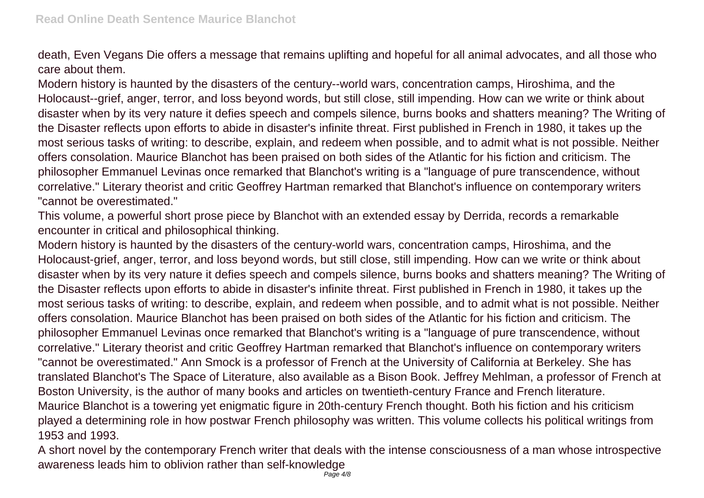death, Even Vegans Die offers a message that remains uplifting and hopeful for all animal advocates, and all those who care about them.

Modern history is haunted by the disasters of the century--world wars, concentration camps, Hiroshima, and the Holocaust--grief, anger, terror, and loss beyond words, but still close, still impending. How can we write or think about disaster when by its very nature it defies speech and compels silence, burns books and shatters meaning? The Writing of the Disaster reflects upon efforts to abide in disaster's infinite threat. First published in French in 1980, it takes up the most serious tasks of writing: to describe, explain, and redeem when possible, and to admit what is not possible. Neither offers consolation. Maurice Blanchot has been praised on both sides of the Atlantic for his fiction and criticism. The philosopher Emmanuel Levinas once remarked that Blanchot's writing is a "language of pure transcendence, without correlative." Literary theorist and critic Geoffrey Hartman remarked that Blanchot's influence on contemporary writers "cannot be overestimated."

This volume, a powerful short prose piece by Blanchot with an extended essay by Derrida, records a remarkable encounter in critical and philosophical thinking.

Modern history is haunted by the disasters of the century-world wars, concentration camps, Hiroshima, and the Holocaust-grief, anger, terror, and loss beyond words, but still close, still impending. How can we write or think about disaster when by its very nature it defies speech and compels silence, burns books and shatters meaning? The Writing of the Disaster reflects upon efforts to abide in disaster's infinite threat. First published in French in 1980, it takes up the most serious tasks of writing: to describe, explain, and redeem when possible, and to admit what is not possible. Neither offers consolation. Maurice Blanchot has been praised on both sides of the Atlantic for his fiction and criticism. The philosopher Emmanuel Levinas once remarked that Blanchot's writing is a "language of pure transcendence, without correlative." Literary theorist and critic Geoffrey Hartman remarked that Blanchot's influence on contemporary writers "cannot be overestimated." Ann Smock is a professor of French at the University of California at Berkeley. She has translated Blanchot's The Space of Literature, also available as a Bison Book. Jeffrey Mehlman, a professor of French at Boston University, is the author of many books and articles on twentieth-century France and French literature. Maurice Blanchot is a towering yet enigmatic figure in 20th-century French thought. Both his fiction and his criticism played a determining role in how postwar French philosophy was written. This volume collects his political writings from 1953 and 1993.

A short novel by the contemporary French writer that deals with the intense consciousness of a man whose introspective awareness leads him to oblivion rather than self-knowledge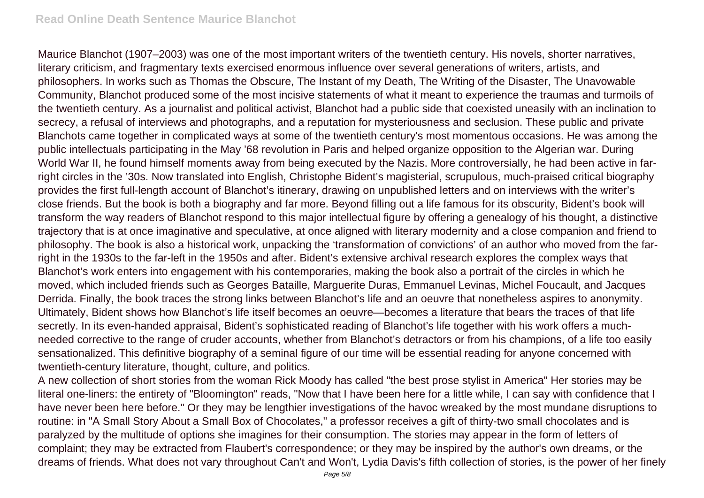Maurice Blanchot (1907–2003) was one of the most important writers of the twentieth century. His novels, shorter narratives, literary criticism, and fragmentary texts exercised enormous influence over several generations of writers, artists, and philosophers. In works such as Thomas the Obscure, The Instant of my Death, The Writing of the Disaster, The Unavowable Community, Blanchot produced some of the most incisive statements of what it meant to experience the traumas and turmoils of the twentieth century. As a journalist and political activist, Blanchot had a public side that coexisted uneasily with an inclination to secrecy, a refusal of interviews and photographs, and a reputation for mysteriousness and seclusion. These public and private Blanchots came together in complicated ways at some of the twentieth century's most momentous occasions. He was among the public intellectuals participating in the May '68 revolution in Paris and helped organize opposition to the Algerian war. During World War II, he found himself moments away from being executed by the Nazis. More controversially, he had been active in farright circles in the '30s. Now translated into English, Christophe Bident's magisterial, scrupulous, much-praised critical biography provides the first full-length account of Blanchot's itinerary, drawing on unpublished letters and on interviews with the writer's close friends. But the book is both a biography and far more. Beyond filling out a life famous for its obscurity, Bident's book will transform the way readers of Blanchot respond to this major intellectual figure by offering a genealogy of his thought, a distinctive trajectory that is at once imaginative and speculative, at once aligned with literary modernity and a close companion and friend to philosophy. The book is also a historical work, unpacking the 'transformation of convictions' of an author who moved from the farright in the 1930s to the far-left in the 1950s and after. Bident's extensive archival research explores the complex ways that Blanchot's work enters into engagement with his contemporaries, making the book also a portrait of the circles in which he moved, which included friends such as Georges Bataille, Marguerite Duras, Emmanuel Levinas, Michel Foucault, and Jacques Derrida. Finally, the book traces the strong links between Blanchot's life and an oeuvre that nonetheless aspires to anonymity. Ultimately, Bident shows how Blanchot's life itself becomes an oeuvre—becomes a literature that bears the traces of that life secretly. In its even-handed appraisal, Bident's sophisticated reading of Blanchot's life together with his work offers a muchneeded corrective to the range of cruder accounts, whether from Blanchot's detractors or from his champions, of a life too easily sensationalized. This definitive biography of a seminal figure of our time will be essential reading for anyone concerned with twentieth-century literature, thought, culture, and politics.

A new collection of short stories from the woman Rick Moody has called "the best prose stylist in America" Her stories may be literal one-liners: the entirety of "Bloomington" reads, "Now that I have been here for a little while, I can say with confidence that I have never been here before." Or they may be lengthier investigations of the havoc wreaked by the most mundane disruptions to routine: in "A Small Story About a Small Box of Chocolates," a professor receives a gift of thirty-two small chocolates and is paralyzed by the multitude of options she imagines for their consumption. The stories may appear in the form of letters of complaint; they may be extracted from Flaubert's correspondence; or they may be inspired by the author's own dreams, or the dreams of friends. What does not vary throughout Can't and Won't, Lydia Davis's fifth collection of stories, is the power of her finely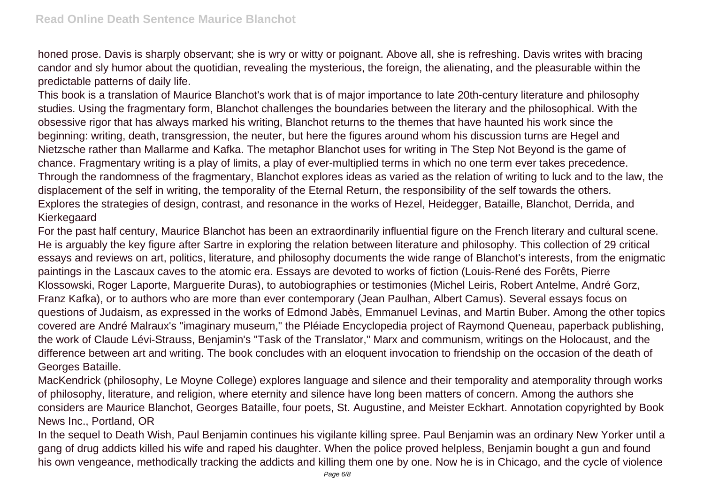honed prose. Davis is sharply observant; she is wry or witty or poignant. Above all, she is refreshing. Davis writes with bracing candor and sly humor about the quotidian, revealing the mysterious, the foreign, the alienating, and the pleasurable within the predictable patterns of daily life.

This book is a translation of Maurice Blanchot's work that is of major importance to late 20th-century literature and philosophy studies. Using the fragmentary form, Blanchot challenges the boundaries between the literary and the philosophical. With the obsessive rigor that has always marked his writing, Blanchot returns to the themes that have haunted his work since the beginning: writing, death, transgression, the neuter, but here the figures around whom his discussion turns are Hegel and Nietzsche rather than Mallarme and Kafka. The metaphor Blanchot uses for writing in The Step Not Beyond is the game of chance. Fragmentary writing is a play of limits, a play of ever-multiplied terms in which no one term ever takes precedence. Through the randomness of the fragmentary, Blanchot explores ideas as varied as the relation of writing to luck and to the law, the displacement of the self in writing, the temporality of the Eternal Return, the responsibility of the self towards the others. Explores the strategies of design, contrast, and resonance in the works of Hezel, Heidegger, Bataille, Blanchot, Derrida, and Kierkegaard

For the past half century, Maurice Blanchot has been an extraordinarily influential figure on the French literary and cultural scene. He is arguably the key figure after Sartre in exploring the relation between literature and philosophy. This collection of 29 critical essays and reviews on art, politics, literature, and philosophy documents the wide range of Blanchot's interests, from the enigmatic paintings in the Lascaux caves to the atomic era. Essays are devoted to works of fiction (Louis-René des Forêts, Pierre Klossowski, Roger Laporte, Marguerite Duras), to autobiographies or testimonies (Michel Leiris, Robert Antelme, André Gorz, Franz Kafka), or to authors who are more than ever contemporary (Jean Paulhan, Albert Camus). Several essays focus on questions of Judaism, as expressed in the works of Edmond Jabès, Emmanuel Levinas, and Martin Buber. Among the other topics covered are André Malraux's "imaginary museum," the Pléiade Encyclopedia project of Raymond Queneau, paperback publishing, the work of Claude Lévi-Strauss, Benjamin's "Task of the Translator," Marx and communism, writings on the Holocaust, and the difference between art and writing. The book concludes with an eloquent invocation to friendship on the occasion of the death of Georges Bataille.

MacKendrick (philosophy, Le Moyne College) explores language and silence and their temporality and atemporality through works of philosophy, literature, and religion, where eternity and silence have long been matters of concern. Among the authors she considers are Maurice Blanchot, Georges Bataille, four poets, St. Augustine, and Meister Eckhart. Annotation copyrighted by Book News Inc., Portland, OR

In the sequel to Death Wish, Paul Benjamin continues his vigilante killing spree. Paul Benjamin was an ordinary New Yorker until a gang of drug addicts killed his wife and raped his daughter. When the police proved helpless, Benjamin bought a gun and found his own vengeance, methodically tracking the addicts and killing them one by one. Now he is in Chicago, and the cycle of violence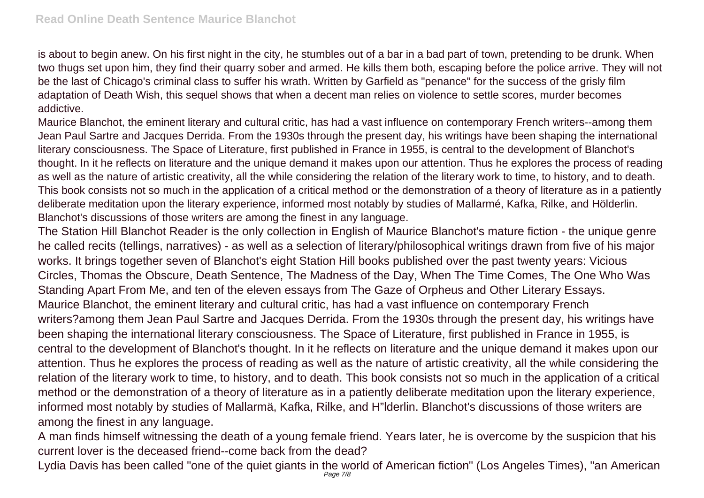is about to begin anew. On his first night in the city, he stumbles out of a bar in a bad part of town, pretending to be drunk. When two thugs set upon him, they find their quarry sober and armed. He kills them both, escaping before the police arrive. They will not be the last of Chicago's criminal class to suffer his wrath. Written by Garfield as "penance" for the success of the grisly film adaptation of Death Wish, this sequel shows that when a decent man relies on violence to settle scores, murder becomes addictive.

Maurice Blanchot, the eminent literary and cultural critic, has had a vast influence on contemporary French writers--among them Jean Paul Sartre and Jacques Derrida. From the 1930s through the present day, his writings have been shaping the international literary consciousness. The Space of Literature, first published in France in 1955, is central to the development of Blanchot's thought. In it he reflects on literature and the unique demand it makes upon our attention. Thus he explores the process of reading as well as the nature of artistic creativity, all the while considering the relation of the literary work to time, to history, and to death. This book consists not so much in the application of a critical method or the demonstration of a theory of literature as in a patiently deliberate meditation upon the literary experience, informed most notably by studies of Mallarmé, Kafka, Rilke, and Hölderlin. Blanchot's discussions of those writers are among the finest in any language.

The Station Hill Blanchot Reader is the only collection in English of Maurice Blanchot's mature fiction - the unique genre he called recits (tellings, narratives) - as well as a selection of literary/philosophical writings drawn from five of his major works. It brings together seven of Blanchot's eight Station Hill books published over the past twenty years: Vicious Circles, Thomas the Obscure, Death Sentence, The Madness of the Day, When The Time Comes, The One Who Was Standing Apart From Me, and ten of the eleven essays from The Gaze of Orpheus and Other Literary Essays. Maurice Blanchot, the eminent literary and cultural critic, has had a vast influence on contemporary French writers?among them Jean Paul Sartre and Jacques Derrida. From the 1930s through the present day, his writings have been shaping the international literary consciousness. The Space of Literature, first published in France in 1955, is central to the development of Blanchot's thought. In it he reflects on literature and the unique demand it makes upon our attention. Thus he explores the process of reading as well as the nature of artistic creativity, all the while considering the relation of the literary work to time, to history, and to death. This book consists not so much in the application of a critical method or the demonstration of a theory of literature as in a patiently deliberate meditation upon the literary experience, informed most notably by studies of Mallarmä, Kafka, Rilke, and H"lderlin. Blanchot's discussions of those writers are among the finest in any language.

A man finds himself witnessing the death of a young female friend. Years later, he is overcome by the suspicion that his current lover is the deceased friend--come back from the dead?

Lydia Davis has been called "one of the quiet giants in the world of American fiction" (Los Angeles Times), "an American<br>Page 7/8